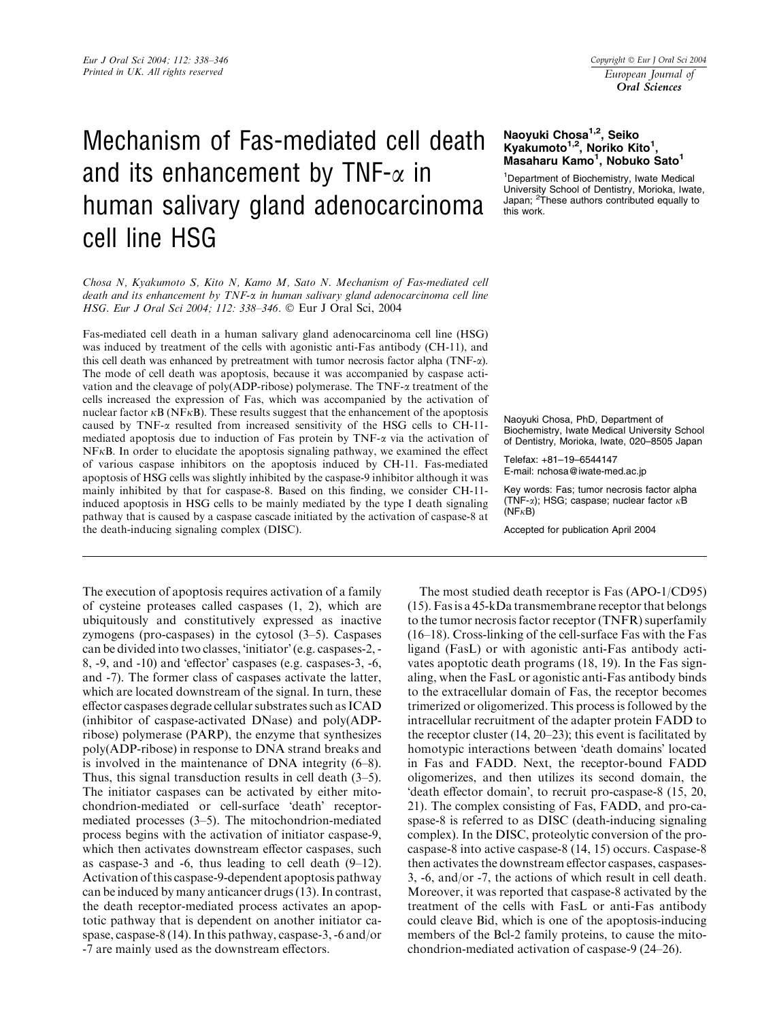# Mechanism of Fas-mediated cell death and its enhancement by TNF- $\alpha$  in human salivary gland adenocarcinoma cell line HSG

Chosa N, Kyakumoto S, Kito N, Kamo M, Sato N. Mechanism of Fas-mediated cell death and its enhancement by TNF-a in human salivary gland adenocarcinoma cell line HSG. Eur J Oral Sci 2004; 112: 338–346. Eur J Oral Sci, 2004

Fas-mediated cell death in a human salivary gland adenocarcinoma cell line (HSG) was induced by treatment of the cells with agonistic anti-Fas antibody (CH-11), and this cell death was enhanced by pretreatment with tumor necrosis factor alpha  $(TNF-\alpha)$ . The mode of cell death was apoptosis, because it was accompanied by caspase activation and the cleavage of poly(ADP-ribose) polymerase. The TNF-a treatment of the cells increased the expression of Fas, which was accompanied by the activation of nuclear factor  $\kappa B$  (NF $\kappa B$ ). These results suggest that the enhancement of the apoptosis caused by TNF- $\alpha$  resulted from increased sensitivity of the HSG cells to CH-11mediated apoptosis due to induction of Fas protein by  $\text{TNF-}\alpha$  via the activation of  $NFKB$ . In order to elucidate the apoptosis signaling pathway, we examined the effect of various caspase inhibitors on the apoptosis induced by CH-11. Fas-mediated apoptosis of HSG cells was slightly inhibited by the caspase-9 inhibitor although it was mainly inhibited by that for caspase-8. Based on this finding, we consider CH-11 induced apoptosis in HSG cells to be mainly mediated by the type I death signaling pathway that is caused by a caspase cascade initiated by the activation of caspase-8 at the death-inducing signaling complex (DISC).

The execution of apoptosis requires activation of a family of cysteine proteases called caspases (1, 2), which are ubiquitously and constitutively expressed as inactive zymogens (pro-caspases) in the cytosol (3–5). Caspases can be divided into two classes, 'initiator' (e.g. caspases-2, - $8, -9,$  and  $-10$ ) and 'effector' caspases (e.g. caspases-3,  $-6$ , and -7). The former class of caspases activate the latter, which are located downstream of the signal. In turn, these effector caspases degrade cellular substrates such as ICAD (inhibitor of caspase-activated DNase) and poly(ADPribose) polymerase (PARP), the enzyme that synthesizes poly(ADP-ribose) in response to DNA strand breaks and is involved in the maintenance of DNA integrity (6–8). Thus, this signal transduction results in cell death (3–5). The initiator caspases can be activated by either mitochondrion-mediated or cell-surface 'death' receptormediated processes (3–5). The mitochondrion-mediated process begins with the activation of initiator caspase-9, which then activates downstream effector caspases, such as caspase-3 and -6, thus leading to cell death  $(9-12)$ . Activation of this caspase-9-dependent apoptosis pathway can be induced by many anticancer drugs (13). In contrast, the death receptor-mediated process activates an apoptotic pathway that is dependent on another initiator caspase, caspase-8 (14). In this pathway, caspase-3, -6 and/or -7 are mainly used as the downstream effectors.

## Naoyuki Chosa<sup>1,2</sup>, Seiko Kyakumoto<sup>1,2</sup>, Noriko Kito<sup>1</sup>, Masaharu Kamo<sup>1</sup>, Nobuko Sato<sup>1</sup>

<sup>1</sup>Department of Biochemistry, Iwate Medical University School of Dentistry, Morioka, Iwate, Japan; <sup>2</sup>These authors contributed equally to this work.

Naoyuki Chosa, PhD, Department of Biochemistry, Iwate Medical University School of Dentistry, Morioka, Iwate, 020–8505 Japan

Telefax: +81–19–6544147 E-mail: nchosa@iwate-med.ac.jp

Key words: Fas; tumor necrosis factor alpha (TNF- $\alpha$ ); HSG; caspase; nuclear factor  $\kappa$ B  $(NF<sub>K</sub>B)$ 

Accepted for publication April 2004

The most studied death receptor is Fas (APO-1/CD95) (15). Fas is a 45-kDa transmembrane receptor that belongs to the tumor necrosis factor receptor (TNFR) superfamily (16–18). Cross-linking of the cell-surface Fas with the Fas ligand (FasL) or with agonistic anti-Fas antibody activates apoptotic death programs (18, 19). In the Fas signaling, when the FasL or agonistic anti-Fas antibody binds to the extracellular domain of Fas, the receptor becomes trimerized or oligomerized. This process is followed by the intracellular recruitment of the adapter protein FADD to the receptor cluster (14, 20–23); this event is facilitated by homotypic interactions between 'death domains' located in Fas and FADD. Next, the receptor-bound FADD oligomerizes, and then utilizes its second domain, the death effector domain', to recruit pro-caspase-8 (15, 20, 21). The complex consisting of Fas, FADD, and pro-caspase-8 is referred to as DISC (death-inducing signaling complex). In the DISC, proteolytic conversion of the procaspase-8 into active caspase-8 (14, 15) occurs. Caspase-8 then activates the downstream effector caspases, caspases-3, -6, and/or -7, the actions of which result in cell death. Moreover, it was reported that caspase-8 activated by the treatment of the cells with FasL or anti-Fas antibody could cleave Bid, which is one of the apoptosis-inducing members of the Bcl-2 family proteins, to cause the mitochondrion-mediated activation of caspase-9 (24–26).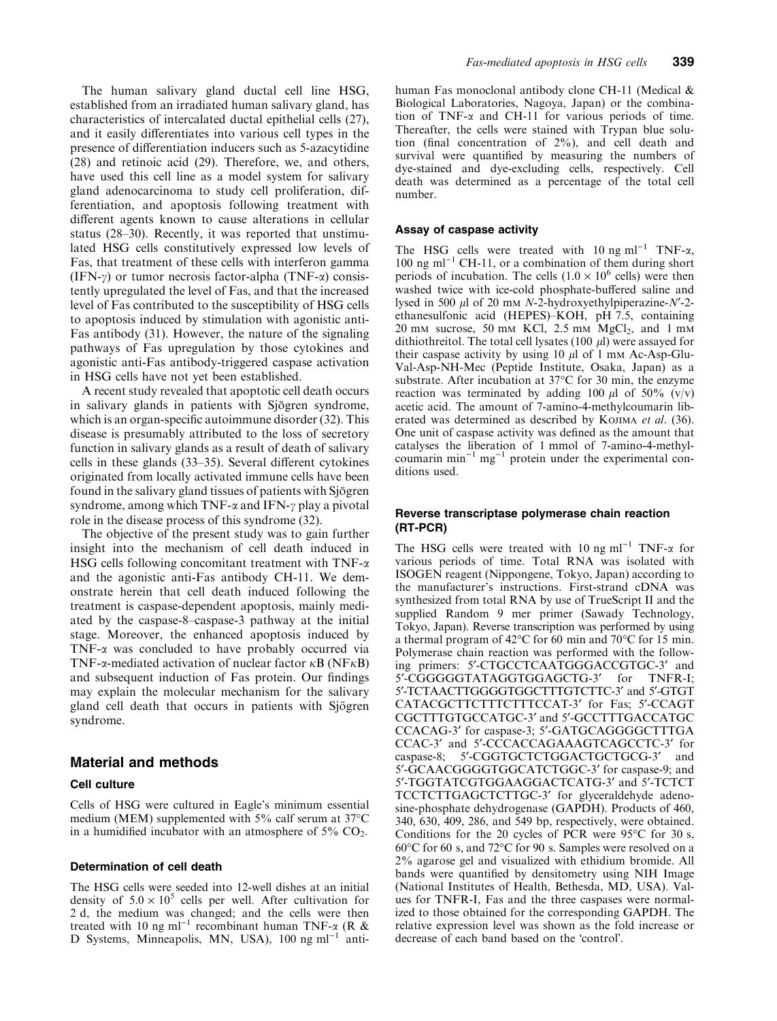The human salivary gland ductal cell line HSG, established from an irradiated human salivary gland, has characteristics of intercalated ductal epithelial cells (27), and it easily differentiates into various cell types in the presence of differentiation inducers such as 5-azacytidine (28) and retinoic acid (29). Therefore, we, and others, have used this cell line as a model system for salivary gland adenocarcinoma to study cell proliferation, differentiation, and apoptosis following treatment with different agents known to cause alterations in cellular status (28–30). Recently, it was reported that unstimulated HSG cells constitutively expressed low levels of Fas, that treatment of these cells with interferon gamma (IFN- $\gamma$ ) or tumor necrosis factor-alpha (TNF- $\alpha$ ) consistently upregulated the level of Fas, and that the increased level of Fas contributed to the susceptibility of HSG cells to apoptosis induced by stimulation with agonistic anti-Fas antibody (31). However, the nature of the signaling pathways of Fas upregulation by those cytokines and agonistic anti-Fas antibody-triggered caspase activation in HSG cells have not yet been established.

A recent study revealed that apoptotic cell death occurs in salivary glands in patients with Sjögren syndrome, which is an organ-specific autoimmune disorder (32). This disease is presumably attributed to the loss of secretory function in salivary glands as a result of death of salivary cells in these glands (33–35). Several different cytokines originated from locally activated immune cells have been found in the salivary gland tissues of patients with Sjögren syndrome, among which TNF- $\alpha$  and IFN- $\gamma$  play a pivotal role in the disease process of this syndrome (32).

The objective of the present study was to gain further insight into the mechanism of cell death induced in HSG cells following concomitant treatment with  $TNF-\alpha$ and the agonistic anti-Fas antibody CH-11. We demonstrate herein that cell death induced following the treatment is caspase-dependent apoptosis, mainly mediated by the caspase-8–caspase-3 pathway at the initial stage. Moreover, the enhanced apoptosis induced by TNF- $\alpha$  was concluded to have probably occurred via TNF- $\alpha$ -mediated activation of nuclear factor  $\kappa$ B (NF $\kappa$ B) and subsequent induction of Fas protein. Our findings may explain the molecular mechanism for the salivary gland cell death that occurs in patients with Sjögren syndrome.

## Material and methods

#### Cell culture

Cells of HSG were cultured in Eagle's minimum essential medium (MEM) supplemented with 5% calf serum at 37°C in a humidified incubator with an atmosphere of  $5\%$  CO<sub>2</sub>.

#### Determination of cell death

The HSG cells were seeded into 12-well dishes at an initial density of  $5.0 \times 10^5$  cells per well. After cultivation for 2 d, the medium was changed; and the cells were then treated with 10 ng ml<sup>-1</sup> recombinant human TNF- $\alpha$  (R & D Systems, Minneapolis, MN, USA),  $100$  ng m $l^{-1}$  antihuman Fas monoclonal antibody clone CH-11 (Medical & Biological Laboratories, Nagoya, Japan) or the combination of TNF-a and CH-11 for various periods of time. Thereafter, the cells were stained with Trypan blue solution (final concentration of 2%), and cell death and survival were quantified by measuring the numbers of dye-stained and dye-excluding cells, respectively. Cell death was determined as a percentage of the total cell number.

#### Assay of caspase activity

The HSG cells were treated with 10 ng ml<sup>-1</sup> TNF- $\alpha$ , 100 ng ml<sup>-1</sup> CH-11, or a combination of them during short periods of incubation. The cells  $(1.0 \times 10^6 \text{ cells})$  were then washed twice with ice-cold phosphate-buffered saline and lysed in 500  $\mu$ l of 20 mm N-2-hydroxyethylpiperazine-N'-2ethanesulfonic acid (HEPES)–KOH, pH 7.5, containing  $20 \text{ mm}$  sucrose,  $50 \text{ mm}$  KCl,  $2.5 \text{ mm}$  MgCl<sub>2</sub>, and 1 mm dithiothreitol. The total cell lysates (100  $\mu$ l) were assayed for their caspase activity by using 10  $\mu$ l of 1 mm Ac-Asp-Glu-Val-Asp-NH-Mec (Peptide Institute, Osaka, Japan) as a substrate. After incubation at  $37^{\circ}$ C for 30 min, the enzyme reaction was terminated by adding 100  $\mu$ l of 50% (v/v) acetic acid. The amount of 7-amino-4-methylcoumarin liberated was determined as described by KOJIMA et al. (36). One unit of caspase activity was defined as the amount that catalyses the liberation of 1 mmol of 7-amino-4-methylcoumarin min<sup>-1</sup> mg<sup>-1</sup> protein under the experimental conditions used.

## Reverse transcriptase polymerase chain reaction (RT-PCR)

The HSG cells were treated with 10 ng ml<sup>-1</sup> TNF- $\alpha$  for various periods of time. Total RNA was isolated with ISOGEN reagent (Nippongene, Tokyo, Japan) according to the manufacturer's instructions. First-strand cDNA was synthesized from total RNA by use of TrueScript II and the supplied Random 9 mer primer (Sawady Technology, Tokyo, Japan). Reverse transcription was performed by using a thermal program of  $42^{\circ}$ C for 60 min and 70 $^{\circ}$ C for 15 min. Polymerase chain reaction was performed with the following primers: 5'-CTGCCTCAATGGGACCGTGC-3' and 5'-CGGGGGTATAGGTGGAGCTG-3' for TNFR-I; 5'-TCTAACTTGGGGTGGCTTTGTCTTC-3' and 5'-GTGT CATACGCTTCTTTCTTTCCAT-3' for Fas: 5'-CCAGT CGCTTTGTGCCATGC-3' and 5'-GCCTTTGACCATGC CCACAG-3' for caspase-3; 5'-GATGCAGGGGCTTTGA CCAC-3' and 5'-CCCACCAGAAAGTCAGCCTC-3' for caspase-8; 5'-CGGTGCTCTGGACTGCTGCG-3' and 5'-GCAACGGGGTGGCATCTGGC-3' for caspase-9; and 5¢-TGGTATCGTGGAAGGACTCATG-3¢ and 5¢-TCTCT TCCTCTTGAGCTCTTGC-3' for glyceraldehyde adenosine-phosphate dehydrogenase (GAPDH). Products of 460, 340, 630, 409, 286, and 549 bp, respectively, were obtained. Conditions for the 20 cycles of PCR were  $95^{\circ}$ C for 30 s, 60°C for 60 s, and 72°C for 90 s. Samples were resolved on a 2% agarose gel and visualized with ethidium bromide. All bands were quantified by densitometry using NIH Image (National Institutes of Health, Bethesda, MD, USA). Values for TNFR-I, Fas and the three caspases were normalized to those obtained for the corresponding GAPDH. The relative expression level was shown as the fold increase or decrease of each band based on the 'control'.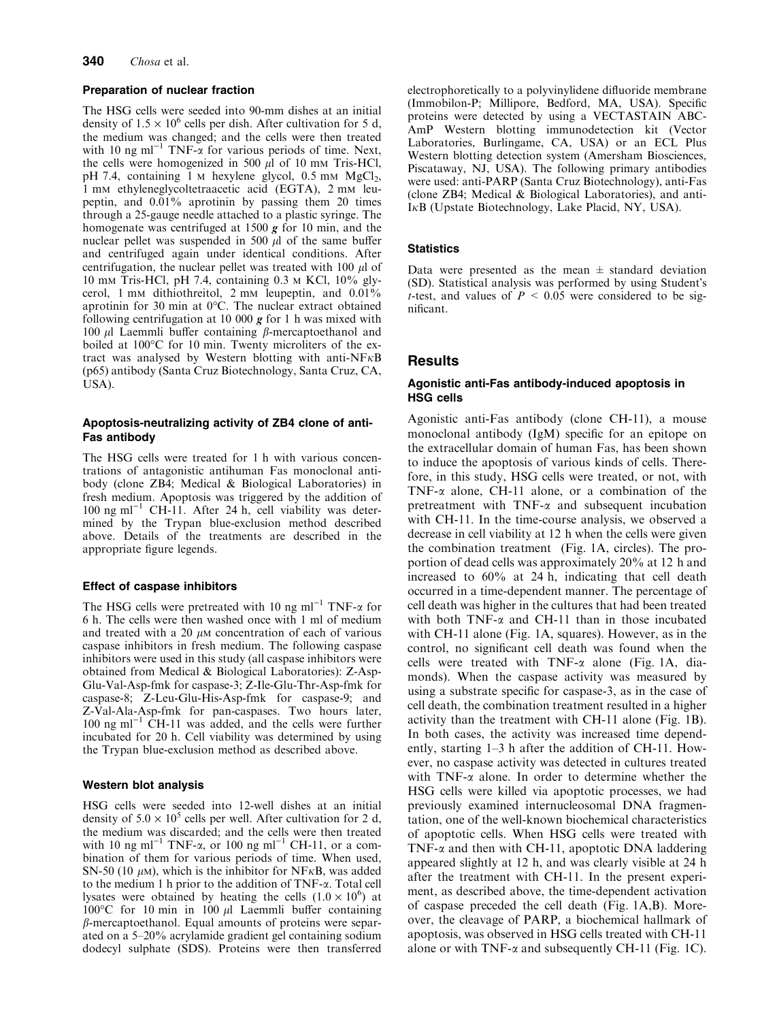#### Preparation of nuclear fraction

The HSG cells were seeded into 90-mm dishes at an initial density of  $1.5 \times 10^6$  cells per dish. After cultivation for 5 d, the medium was changed; and the cells were then treated with 10 ng ml<sup>-1</sup> TNF- $\alpha$  for various periods of time. Next, the cells were homogenized in 500  $\mu$ l of 10 mm Tris-HCl, pH 7.4, containing 1  $\text{M}$  hexylene glycol, 0.5 mM  $\text{MgCl}_2$ , 1 mm ethyleneglycoltetraacetic acid (EGTA), 2 mm leupeptin, and 0.01% aprotinin by passing them 20 times through a 25-gauge needle attached to a plastic syringe. The homogenate was centrifuged at 1500  $g$  for 10 min, and the nuclear pellet was suspended in 500  $\mu$ l of the same buffer and centrifuged again under identical conditions. After centrifugation, the nuclear pellet was treated with 100  $\mu$ l of 10 mm Tris-HCl, pH 7.4, containing 0.3 m KCl, 10% glycerol, 1 mm dithiothreitol, 2 mm leupeptin, and 0.01% aprotinin for 30 min at  $0^{\circ}$ C. The nuclear extract obtained following centrifugation at 10 000  $g$  for 1 h was mixed with 100  $\mu$ l Laemmli buffer containing  $\beta$ -mercaptoethanol and boiled at 100°C for 10 min. Twenty microliters of the extract was analysed by Western blotting with anti-NF $\kappa$ B (p65) antibody (Santa Cruz Biotechnology, Santa Cruz, CA, USA).

## Apoptosis-neutralizing activity of ZB4 clone of anti-Fas antibody

The HSG cells were treated for 1 h with various concentrations of antagonistic antihuman Fas monoclonal antibody (clone ZB4; Medical & Biological Laboratories) in fresh medium. Apoptosis was triggered by the addition of  $100$  ng ml<sup>-1</sup> CH-11. After 24 h, cell viability was determined by the Trypan blue-exclusion method described above. Details of the treatments are described in the appropriate figure legends.

#### Effect of caspase inhibitors

The HSG cells were pretreated with 10 ng ml<sup>-1</sup> TNF- $\alpha$  for 6 h. The cells were then washed once with 1 ml of medium and treated with a 20  $\mu$ M concentration of each of various caspase inhibitors in fresh medium. The following caspase inhibitors were used in this study (all caspase inhibitors were obtained from Medical & Biological Laboratories): Z-Asp-Glu-Val-Asp-fmk for caspase-3; Z-Ile-Glu-Thr-Asp-fmk for caspase-8; Z-Leu-Glu-His-Asp-fmk for caspase-9; and Z-Val-Ala-Asp-fmk for pan-caspases. Two hours later,  $100$  ng ml<sup>-1</sup> CH-11 was added, and the cells were further incubated for 20 h. Cell viability was determined by using the Trypan blue-exclusion method as described above.

#### Western blot analysis

HSG cells were seeded into 12-well dishes at an initial density of  $5.0 \times 10^5$  cells per well. After cultivation for 2 d, the medium was discarded; and the cells were then treated with 10 ng ml<sup>-1</sup> TNF- $\alpha$ , or 100 ng ml<sup>-1</sup> CH-11, or a combination of them for various periods of time. When used, SN-50 (10  $\mu$ m), which is the inhibitor for NF $\kappa$ B, was added to the medium 1 h prior to the addition of TNF-a. Total cell lysates were obtained by heating the cells  $(1.0 \times 10^6)$  at 100 $\degree$ C for 10 min in 100  $\mu$ l Laemmli buffer containing  $\beta$ -mercaptoethanol. Equal amounts of proteins were separated on a 5–20% acrylamide gradient gel containing sodium dodecyl sulphate (SDS). Proteins were then transferred electrophoretically to a polyvinylidene difluoride membrane (Immobilon-P; Millipore, Bedford, MA, USA). Specific proteins were detected by using a VECTASTAIN ABC-AmP Western blotting immunodetection kit (Vector Laboratories, Burlingame, CA, USA) or an ECL Plus Western blotting detection system (Amersham Biosciences, Piscataway, NJ, USA). The following primary antibodies were used: anti-PARP (Santa Cruz Biotechnology), anti-Fas (clone ZB4; Medical & Biological Laboratories), and anti- $I<sub>K</sub>B$  (Upstate Biotechnology, Lake Placid, NY, USA).

## **Statistics**

Data were presented as the mean  $\pm$  standard deviation (SD). Statistical analysis was performed by using Student's t-test, and values of  $P < 0.05$  were considered to be significant.

## Results

#### Agonistic anti-Fas antibody-induced apoptosis in HSG cells

Agonistic anti-Fas antibody (clone CH-11), a mouse monoclonal antibody (IgM) specific for an epitope on the extracellular domain of human Fas, has been shown to induce the apoptosis of various kinds of cells. Therefore, in this study, HSG cells were treated, or not, with TNF- $\alpha$  alone, CH-11 alone, or a combination of the pretreatment with  $TNF-\alpha$  and subsequent incubation with CH-11. In the time-course analysis, we observed a decrease in cell viability at 12 h when the cells were given the combination treatment (Fig. 1A, circles). The proportion of dead cells was approximately 20% at 12 h and increased to 60% at 24 h, indicating that cell death occurred in a time-dependent manner. The percentage of cell death was higher in the cultures that had been treated with both TNF- $\alpha$  and CH-11 than in those incubated with CH-11 alone (Fig. 1A, squares). However, as in the control, no significant cell death was found when the cells were treated with  $TNF-\alpha$  alone (Fig. 1A, diamonds). When the caspase activity was measured by using a substrate specific for caspase-3, as in the case of cell death, the combination treatment resulted in a higher activity than the treatment with CH-11 alone (Fig. 1B). In both cases, the activity was increased time dependently, starting 1–3 h after the addition of CH-11. However, no caspase activity was detected in cultures treated with  $TNF-\alpha$  alone. In order to determine whether the HSG cells were killed via apoptotic processes, we had previously examined internucleosomal DNA fragmentation, one of the well-known biochemical characteristics of apoptotic cells. When HSG cells were treated with TNF- $\alpha$  and then with CH-11, apoptotic DNA laddering appeared slightly at 12 h, and was clearly visible at 24 h after the treatment with CH-11. In the present experiment, as described above, the time-dependent activation of caspase preceded the cell death (Fig. 1A,B). Moreover, the cleavage of PARP, a biochemical hallmark of apoptosis, was observed in HSG cells treated with CH-11 alone or with TNF- $\alpha$  and subsequently CH-11 (Fig. 1C).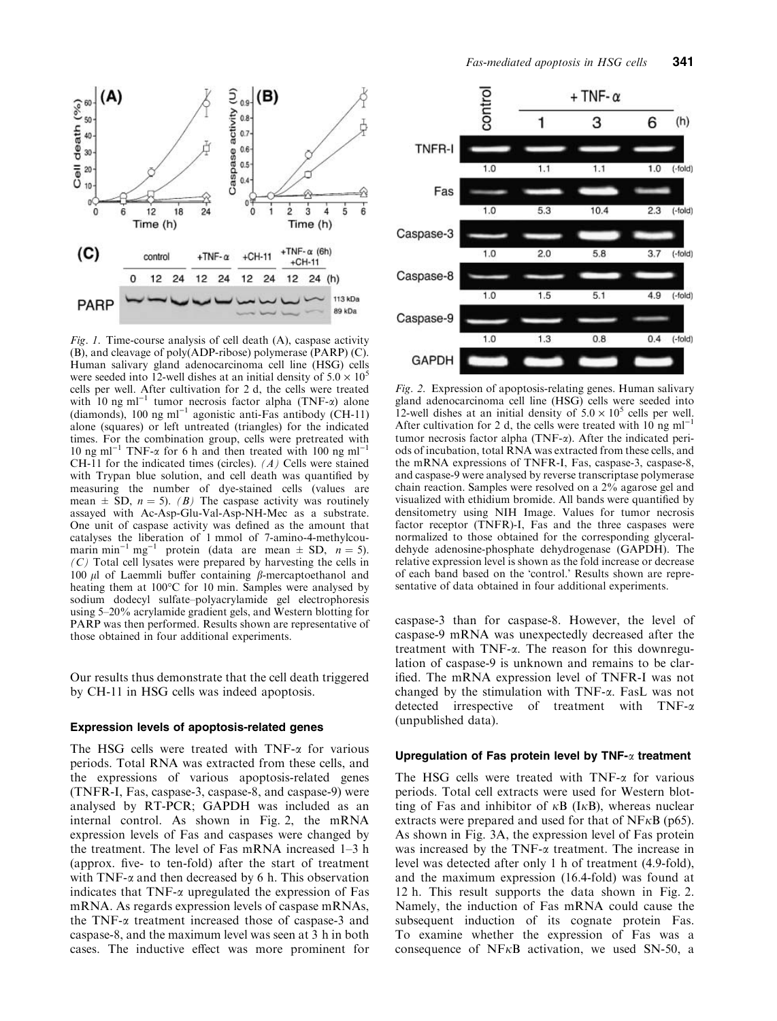

Fig. 1. Time-course analysis of cell death (A), caspase activity (B), and cleavage of poly(ADP-ribose) polymerase (PARP) (C). Human salivary gland adenocarcinoma cell line (HSG) cells were seeded into 12-well dishes at an initial density of  $5.0 \times 10^5$ cells per well. After cultivation for 2 d, the cells were treated with 10 ng ml<sup>-1</sup> tumor necrosis factor alpha (TNF- $\alpha$ ) alone (diamonds), 100 ng ml<sup>-1</sup> agonistic anti-Fas antibody (CH-11) alone (squares) or left untreated (triangles) for the indicated times. For the combination group, cells were pretreated with 10 ng ml<sup>-1</sup> TNF- $\alpha$  for 6 h and then treated with 100 ng ml<sup>-1</sup> CH-11 for the indicated times (circles).  $(A)$  Cells were stained with Trypan blue solution, and cell death was quantified by measuring the number of dye-stained cells (values are mean  $\pm$  SD,  $n = 5$ ). (B) The caspase activity was routinely assayed with Ac-Asp-Glu-Val-Asp-NH-Mec as a substrate. One unit of caspase activity was defined as the amount that catalyses the liberation of 1 mmol of 7-amino-4-methylcoumarin min<sup>-1</sup> mg<sup>-1</sup> protein (data are mean  $\pm$  SD,  $n = 5$ ).  $(C)$  Total cell lysates were prepared by harvesting the cells in 100  $\mu$ l of Laemmli buffer containing  $\beta$ -mercaptoethanol and heating them at 100°C for 10 min. Samples were analysed by sodium dodecyl sulfate–polyacrylamide gel electrophoresis using 5–20% acrylamide gradient gels, and Western blotting for PARP was then performed. Results shown are representative of those obtained in four additional experiments.

Our results thus demonstrate that the cell death triggered by CH-11 in HSG cells was indeed apoptosis.

#### Expression levels of apoptosis-related genes

The HSG cells were treated with  $TNF-\alpha$  for various periods. Total RNA was extracted from these cells, and the expressions of various apoptosis-related genes (TNFR-I, Fas, caspase-3, caspase-8, and caspase-9) were analysed by RT-PCR; GAPDH was included as an internal control. As shown in Fig. 2, the mRNA expression levels of Fas and caspases were changed by the treatment. The level of Fas mRNA increased 1–3 h (approx. five- to ten-fold) after the start of treatment with TNF- $\alpha$  and then decreased by 6 h. This observation indicates that  $TNF-\alpha$  upregulated the expression of Fas mRNA. As regards expression levels of caspase mRNAs, the TNF- $\alpha$  treatment increased those of caspase-3 and caspase-8, and the maximum level was seen at 3 h in both cases. The inductive effect was more prominent for



Fig. 2. Expression of apoptosis-relating genes. Human salivary gland adenocarcinoma cell line (HSG) cells were seeded into 12-well dishes at an initial density of  $5.0 \times 10^5$  cells per well. After cultivation for 2 d, the cells were treated with 10 ng  $ml^{-1}$ tumor necrosis factor alpha  $(TNF-\alpha)$ . After the indicated periods of incubation, total RNA was extracted from these cells, and the mRNA expressions of TNFR-I, Fas, caspase-3, caspase-8, and caspase-9 were analysed by reverse transcriptase polymerase chain reaction. Samples were resolved on a 2% agarose gel and visualized with ethidium bromide. All bands were quantified by densitometry using NIH Image. Values for tumor necrosis factor receptor (TNFR)-I, Fas and the three caspases were normalized to those obtained for the corresponding glyceraldehyde adenosine-phosphate dehydrogenase (GAPDH). The relative expression level is shown as the fold increase or decrease of each band based on the 'control.' Results shown are representative of data obtained in four additional experiments.

caspase-3 than for caspase-8. However, the level of caspase-9 mRNA was unexpectedly decreased after the treatment with TNF-a. The reason for this downregulation of caspase-9 is unknown and remains to be clarified. The mRNA expression level of TNFR-I was not changed by the stimulation with TNF-a. FasL was not detected irrespective of treatment with TNF-a (unpublished data).

## Upregulation of Fas protein level by TNF- $\alpha$  treatment

The HSG cells were treated with  $TNF-\alpha$  for various periods. Total cell extracts were used for Western blotting of Fas and inhibitor of  $\kappa$ B (I $\kappa$ B), whereas nuclear extracts were prepared and used for that of  $NFRB$  (p65). As shown in Fig. 3A, the expression level of Fas protein was increased by the TNF- $\alpha$  treatment. The increase in level was detected after only 1 h of treatment (4.9-fold), and the maximum expression (16.4-fold) was found at 12 h. This result supports the data shown in Fig. 2. Namely, the induction of Fas mRNA could cause the subsequent induction of its cognate protein Fas. To examine whether the expression of Fas was a consequence of  $N$ F $\kappa$ B activation, we used SN-50, a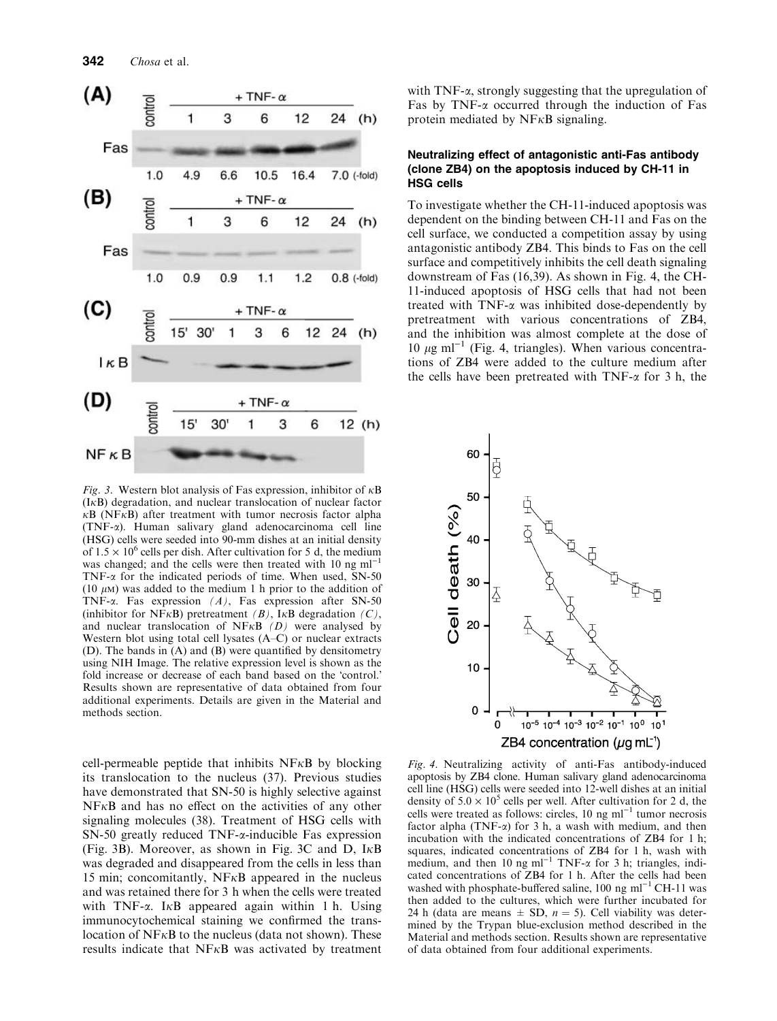

Fig. 3. Western blot analysis of Fas expression, inhibitor of  $\kappa$ B  $(I<sub>K</sub>B)$  degradation, and nuclear translocation of nuclear factor  $\kappa$ B (NF $\kappa$ B) after treatment with tumor necrosis factor alpha (TNF-a). Human salivary gland adenocarcinoma cell line (HSG) cells were seeded into 90-mm dishes at an initial density of  $1.5 \times 10^6$  cells per dish. After cultivation for 5 d, the medium was changed; and the cells were then treated with  $10$  ng ml<sup>-</sup> TNF- $\alpha$  for the indicated periods of time. When used, SN-50  $(10 \mu)$  was added to the medium 1 h prior to the addition of TNF- $\alpha$ . Fas expression  $(A)$ , Fas expression after SN-50 (inhibitor for NF $\kappa$ B) pretreatment (B), I $\kappa$ B degradation (C), and nuclear translocation of NF $\kappa$ B (D) were analysed by Western blot using total cell lysates (A–C) or nuclear extracts (D). The bands in (A) and (B) were quantified by densitometry using NIH Image. The relative expression level is shown as the fold increase or decrease of each band based on the 'control.' Results shown are representative of data obtained from four additional experiments. Details are given in the Material and methods section.

cell-permeable peptide that inhibits  $N F \kappa B$  by blocking its translocation to the nucleus (37). Previous studies have demonstrated that SN-50 is highly selective against  $N$ F $\kappa$ B and has no effect on the activities of any other signaling molecules (38). Treatment of HSG cells with SN-50 greatly reduced TNF- $\alpha$ -inducible Fas expression (Fig. 3B). Moreover, as shown in Fig. 3C and D,  $I \kappa B$ was degraded and disappeared from the cells in less than 15 min; concomitantly,  $N F<sub>K</sub>B$  appeared in the nucleus and was retained there for 3 h when the cells were treated with TNF- $\alpha$ . I $\kappa$ B appeared again within 1 h. Using immunocytochemical staining we confirmed the translocation of  $N F<sub>K</sub>B$  to the nucleus (data not shown). These results indicate that  $N F \kappa B$  was activated by treatment with  $TNF-\alpha$ , strongly suggesting that the upregulation of Fas by TNF- $\alpha$  occurred through the induction of Fas protein mediated by  $N F<sub>K</sub>B$  signaling.

### Neutralizing effect of antagonistic anti-Fas antibody (clone ZB4) on the apoptosis induced by CH-11 in HSG cells

To investigate whether the CH-11-induced apoptosis was dependent on the binding between CH-11 and Fas on the cell surface, we conducted a competition assay by using antagonistic antibody ZB4. This binds to Fas on the cell surface and competitively inhibits the cell death signaling downstream of Fas (16,39). As shown in Fig. 4, the CH-11-induced apoptosis of HSG cells that had not been treated with  $TNF-\alpha$  was inhibited dose-dependently by pretreatment with various concentrations of ZB4, and the inhibition was almost complete at the dose of 10  $\mu$ g ml<sup>-1</sup> (Fig. 4, triangles). When various concentrations of ZB4 were added to the culture medium after the cells have been pretreated with  $TNF-\alpha$  for 3 h, the



Fig. 4. Neutralizing activity of anti-Fas antibody-induced apoptosis by ZB4 clone. Human salivary gland adenocarcinoma cell line (HSG) cells were seeded into 12-well dishes at an initial density of  $5.0 \times 10^5$  cells per well. After cultivation for 2 d, the cells were treated as follows: circles,  $10 \text{ ng ml}^{-1}$  tumor necrosis factor alpha (TNF- $\alpha$ ) for 3 h, a wash with medium, and then incubation with the indicated concentrations of ZB4 for 1 h; squares, indicated concentrations of ZB4 for 1 h, wash with medium, and then 10 ng ml<sup>-1</sup> TNF- $\alpha$  for 3 h; triangles, indicated concentrations of ZB4 for 1 h. After the cells had been washed with phosphate-buffered saline,  $100$  ng ml<sup>-1</sup> CH-11 was then added to the cultures, which were further incubated for 24 h (data are means  $\pm$  SD,  $n = 5$ ). Cell viability was determined by the Trypan blue-exclusion method described in the Material and methods section. Results shown are representative of data obtained from four additional experiments.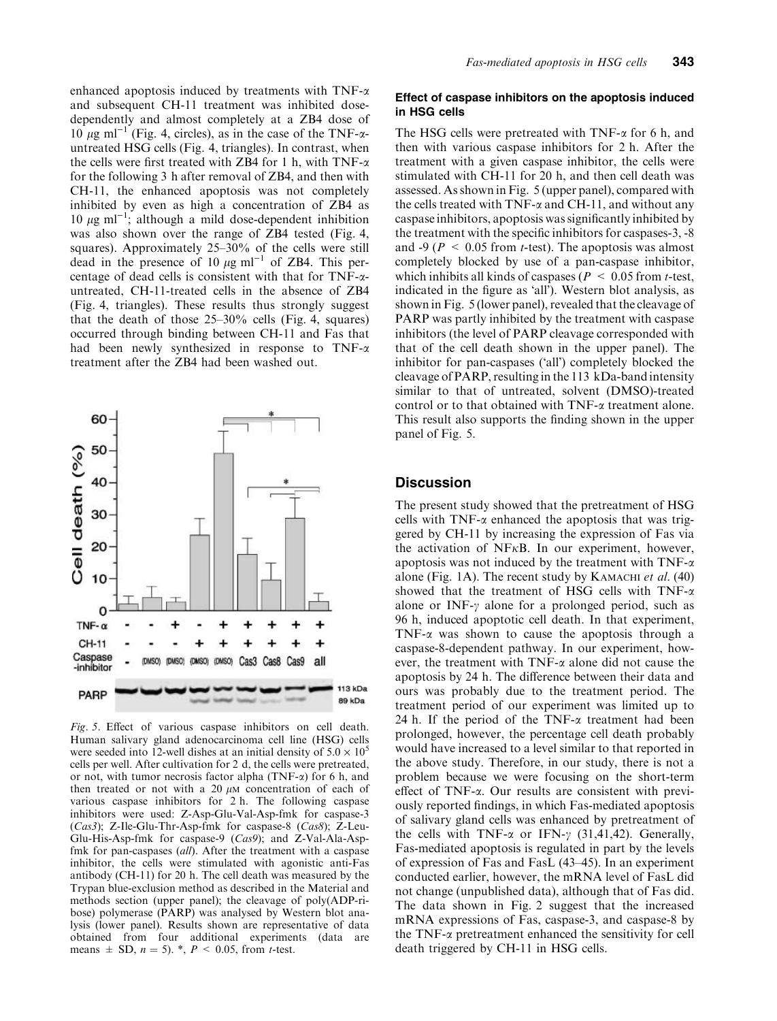enhanced apoptosis induced by treatments with TNF- $\alpha$ and subsequent CH-11 treatment was inhibited dosedependently and almost completely at a ZB4 dose of 10  $\mu$ g ml<sup>-1</sup> (Fig. 4, circles), as in the case of the TNF- $\alpha$ untreated HSG cells (Fig. 4, triangles). In contrast, when the cells were first treated with ZB4 for 1 h, with TNF- $\alpha$ for the following 3 h after removal of ZB4, and then with CH-11, the enhanced apoptosis was not completely inhibited by even as high a concentration of ZB4 as 10  $\mu$ g ml<sup>-1</sup>; although a mild dose-dependent inhibition was also shown over the range of ZB4 tested (Fig. 4, squares). Approximately 25–30% of the cells were still dead in the presence of 10  $\mu$ g ml<sup>-1</sup> of ZB4. This percentage of dead cells is consistent with that for  $TNF-\alpha$ untreated, CH-11-treated cells in the absence of ZB4 (Fig. 4, triangles). These results thus strongly suggest that the death of those  $25-30\%$  cells (Fig. 4, squares) occurred through binding between CH-11 and Fas that had been newly synthesized in response to TNF- $\alpha$ treatment after the ZB4 had been washed out.



Fig. 5. Effect of various caspase inhibitors on cell death. Human salivary gland adenocarcinoma cell line (HSG) cells were seeded into 12-well dishes at an initial density of  $5.0 \times 10^5$ cells per well. After cultivation for 2 d, the cells were pretreated, or not, with tumor necrosis factor alpha (TNF- $\alpha$ ) for 6 h, and then treated or not with a  $20 \mu M$  concentration of each of various caspase inhibitors for 2 h. The following caspase inhibitors were used: Z-Asp-Glu-Val-Asp-fmk for caspase-3 (Cas3); Z-Ile-Glu-Thr-Asp-fmk for caspase-8 (Cas8); Z-Leu-Glu-His-Asp-fmk for caspase-9 (Cas9); and Z-Val-Ala-Aspfmk for pan-caspases (all). After the treatment with a caspase inhibitor, the cells were stimulated with agonistic anti-Fas antibody (CH-11) for 20 h. The cell death was measured by the Trypan blue-exclusion method as described in the Material and methods section (upper panel); the cleavage of poly(ADP-ribose) polymerase (PARP) was analysed by Western blot analysis (lower panel). Results shown are representative of data obtained from four additional experiments (data are means  $\pm$  SD,  $n = 5$ ). \*,  $P < 0.05$ , from t-test.

#### Effect of caspase inhibitors on the apoptosis induced in HSG cells

The HSG cells were pretreated with  $TNF-\alpha$  for 6 h, and then with various caspase inhibitors for 2 h. After the treatment with a given caspase inhibitor, the cells were stimulated with CH-11 for 20 h, and then cell death was assessed. As shown in Fig. 5 (upper panel), compared with the cells treated with  $TNF-\alpha$  and  $CH-11$ , and without any caspase inhibitors, apoptosis was significantly inhibited by the treatment with the specific inhibitors for caspases-3, -8 and -9 ( $P \le 0.05$  from *t*-test). The apoptosis was almost completely blocked by use of a pan-caspase inhibitor, which inhibits all kinds of caspases ( $P < 0.05$  from *t*-test, indicated in the figure as 'all'). Western blot analysis, as shown in Fig. 5 (lower panel), revealed that the cleavage of PARP was partly inhibited by the treatment with caspase inhibitors (the level of PARP cleavage corresponded with that of the cell death shown in the upper panel). The inhibitor for pan-caspases ('all') completely blocked the cleavage of PARP, resulting in the 113 kDa-band intensity similar to that of untreated, solvent (DMSO)-treated control or to that obtained with TNF-a treatment alone. This result also supports the finding shown in the upper panel of Fig. 5.

## **Discussion**

The present study showed that the pretreatment of HSG cells with  $TNF-\alpha$  enhanced the apoptosis that was triggered by CH-11 by increasing the expression of Fas via the activation of NF $\kappa$ B. In our experiment, however, apoptosis was not induced by the treatment with TNF- $\alpha$ alone (Fig. 1A). The recent study by KAMACHI et al.  $(40)$ showed that the treatment of HSG cells with TNF- $\alpha$ alone or INF- $\gamma$  alone for a prolonged period, such as 96 h, induced apoptotic cell death. In that experiment, TNF- $\alpha$  was shown to cause the apoptosis through a caspase-8-dependent pathway. In our experiment, however, the treatment with  $TNF-\alpha$  alone did not cause the apoptosis by 24 h. The difference between their data and ours was probably due to the treatment period. The treatment period of our experiment was limited up to 24 h. If the period of the TNF- $\alpha$  treatment had been prolonged, however, the percentage cell death probably would have increased to a level similar to that reported in the above study. Therefore, in our study, there is not a problem because we were focusing on the short-term effect of TNF-a. Our results are consistent with previously reported findings, in which Fas-mediated apoptosis of salivary gland cells was enhanced by pretreatment of the cells with TNF- $\alpha$  or IFN- $\gamma$  (31,41,42). Generally, Fas-mediated apoptosis is regulated in part by the levels of expression of Fas and FasL (43–45). In an experiment conducted earlier, however, the mRNA level of FasL did not change (unpublished data), although that of Fas did. The data shown in Fig. 2 suggest that the increased mRNA expressions of Fas, caspase-3, and caspase-8 by the TNF-a pretreatment enhanced the sensitivity for cell death triggered by CH-11 in HSG cells.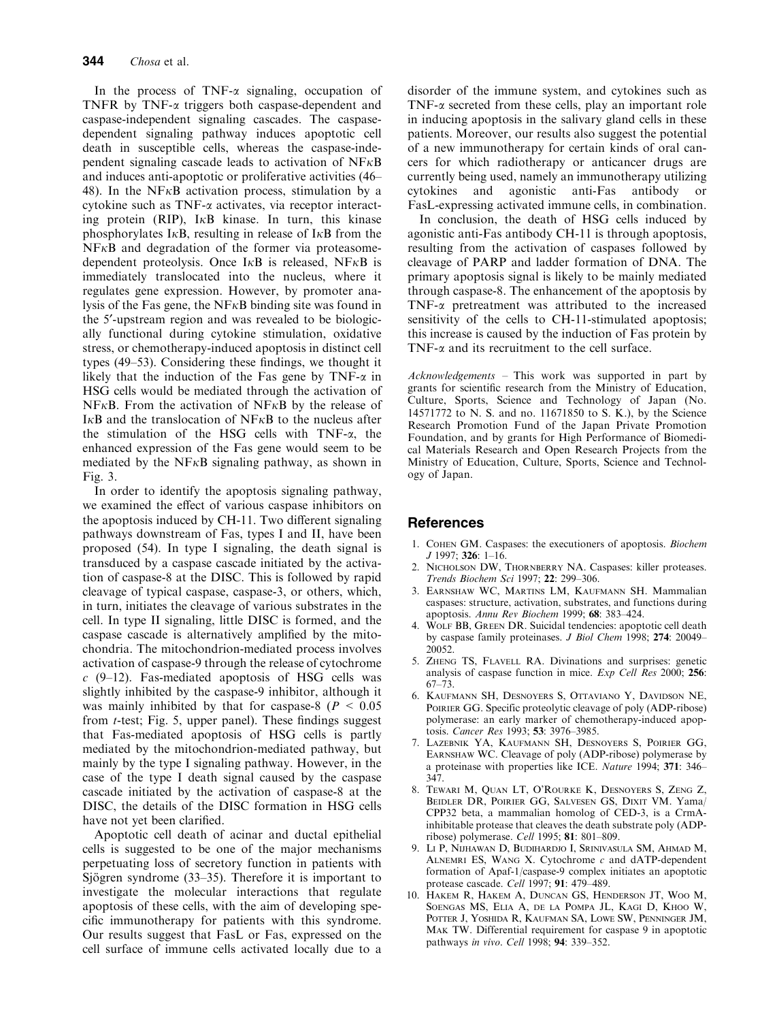In the process of TNF- $\alpha$  signaling, occupation of TNFR by TNF- $\alpha$  triggers both caspase-dependent and caspase-independent signaling cascades. The caspasedependent signaling pathway induces apoptotic cell death in susceptible cells, whereas the caspase-independent signaling cascade leads to activation of  $N F \kappa B$ and induces anti-apoptotic or proliferative activities (46– 48). In the NF $\kappa$ B activation process, stimulation by a cytokine such as TNF- $\alpha$  activates, via receptor interacting protein (RIP),  $I \kappa B$  kinase. In turn, this kinase phosphorylates I $\kappa$ B, resulting in release of I $\kappa$ B from the  $N$ F $\kappa$ B and degradation of the former via proteasomedependent proteolysis. Once  $I \kappa B$  is released, NF $\kappa B$  is immediately translocated into the nucleus, where it regulates gene expression. However, by promoter analysis of the Fas gene, the NF $\kappa$ B binding site was found in the 5'-upstream region and was revealed to be biologically functional during cytokine stimulation, oxidative stress, or chemotherapy-induced apoptosis in distinct cell types (49–53). Considering these findings, we thought it likely that the induction of the Fas gene by TNF- $\alpha$  in HSG cells would be mediated through the activation of  $N$ F $\kappa$ B. From the activation of NF $\kappa$ B by the release of I $\kappa$ B and the translocation of NF $\kappa$ B to the nucleus after the stimulation of the HSG cells with  $TNF-\alpha$ , the enhanced expression of the Fas gene would seem to be mediated by the  $N F<sub>K</sub>B$  signaling pathway, as shown in Fig. 3.

In order to identify the apoptosis signaling pathway, we examined the effect of various caspase inhibitors on the apoptosis induced by CH-11. Two different signaling pathways downstream of Fas, types I and II, have been proposed (54). In type I signaling, the death signal is transduced by a caspase cascade initiated by the activation of caspase-8 at the DISC. This is followed by rapid cleavage of typical caspase, caspase-3, or others, which, in turn, initiates the cleavage of various substrates in the cell. In type II signaling, little DISC is formed, and the caspase cascade is alternatively amplified by the mitochondria. The mitochondrion-mediated process involves activation of caspase-9 through the release of cytochrome  $c$  (9–12). Fas-mediated apoptosis of HSG cells was slightly inhibited by the caspase-9 inhibitor, although it was mainly inhibited by that for caspase-8 ( $P < 0.05$ ) from t-test; Fig. 5, upper panel). These findings suggest that Fas-mediated apoptosis of HSG cells is partly mediated by the mitochondrion-mediated pathway, but mainly by the type I signaling pathway. However, in the case of the type I death signal caused by the caspase cascade initiated by the activation of caspase-8 at the DISC, the details of the DISC formation in HSG cells have not yet been clarified.

Apoptotic cell death of acinar and ductal epithelial cells is suggested to be one of the major mechanisms perpetuating loss of secretory function in patients with Sjögren syndrome  $(33-35)$ . Therefore it is important to investigate the molecular interactions that regulate apoptosis of these cells, with the aim of developing specific immunotherapy for patients with this syndrome. Our results suggest that FasL or Fas, expressed on the cell surface of immune cells activated locally due to a disorder of the immune system, and cytokines such as TNF- $\alpha$  secreted from these cells, play an important role in inducing apoptosis in the salivary gland cells in these patients. Moreover, our results also suggest the potential of a new immunotherapy for certain kinds of oral cancers for which radiotherapy or anticancer drugs are currently being used, namely an immunotherapy utilizing cytokines and agonistic anti-Fas antibody or FasL-expressing activated immune cells, in combination.

In conclusion, the death of HSG cells induced by agonistic anti-Fas antibody CH-11 is through apoptosis, resulting from the activation of caspases followed by cleavage of PARP and ladder formation of DNA. The primary apoptosis signal is likely to be mainly mediated through caspase-8. The enhancement of the apoptosis by TNF-a pretreatment was attributed to the increased sensitivity of the cells to CH-11-stimulated apoptosis; this increase is caused by the induction of Fas protein by TNF- $\alpha$  and its recruitment to the cell surface.

Acknowledgements – This work was supported in part by grants for scientific research from the Ministry of Education, Culture, Sports, Science and Technology of Japan (No. 14571772 to N. S. and no. 11671850 to S. K.), by the Science Research Promotion Fund of the Japan Private Promotion Foundation, and by grants for High Performance of Biomedical Materials Research and Open Research Projects from the Ministry of Education, Culture, Sports, Science and Technology of Japan.

# References

- 1. Cohen GM. Caspases: the executioners of apoptosis. Biochem  $J$  1997: **326**: 1–16.
- 2. Nicholson DW, Thornberry NA. Caspases: killer proteases. Trends Biochem Sci 1997; 22: 299–306.
- 3. Earnshaw WC, Martins LM, Kaufmann SH. Mammalian caspases: structure, activation, substrates, and functions during apoptosis. Annu Rev Biochem 1999; 68: 383–424.
- WOLF BB, GREEN DR. Suicidal tendencies: apoptotic cell death by caspase family proteinases. J Biol Chem 1998; 274: 20049– 20052.
- 5. Zheng TS, Flavell RA. Divinations and surprises: genetic analysis of caspase function in mice. Exp Cell Res 2000; 256: 67–73.
- 6. Kaufmann SH, Desnoyers S, Ottaviano Y, Davidson NE, POIRIER GG. Specific proteolytic cleavage of poly (ADP-ribose) polymerase: an early marker of chemotherapy-induced apoptosis. Cancer Res 1993; 53: 3976–3985.
- 7. Lazebnik YA, Kaufmann SH, Desnoyers S, Poirier GG, Earnshaw WC. Cleavage of poly (ADP-ribose) polymerase by a proteinase with properties like ICE. Nature 1994; 371: 346– 347.
- 8. Tewari M, Quan LT, O'Rourke K, Desnoyers S, Zeng Z, BEIDLER DR, POIRIER GG, SALVESEN GS, DIXIT VM, Yama/ CPP32 beta, a mammalian homolog of CED-3, is a CrmAinhibitable protease that cleaves the death substrate poly (ADPribose) polymerase. Cell 1995; 81: 801–809.
- 9. Li P, Nijhawan D, Budihardjo I, Srinivasula SM, Ahmad M, ALNEMRI ES, WANG X. Cytochrome  $c$  and dATP-dependent formation of Apaf-1/caspase-9 complex initiates an apoptotic protease cascade. Cell 1997; 91: 479–489.
- 10. Hakem R, Hakem A, Duncan GS, Henderson JT, Woo M, Soengas MS, Elia A, de la Pompa JL, Kagi D, Khoo W, Potter J, Yoshida R, Kaufman SA, Lowe SW, Penninger JM, Mak TW. Differential requirement for caspase 9 in apoptotic pathways in vivo. Cell 1998; 94: 339-352.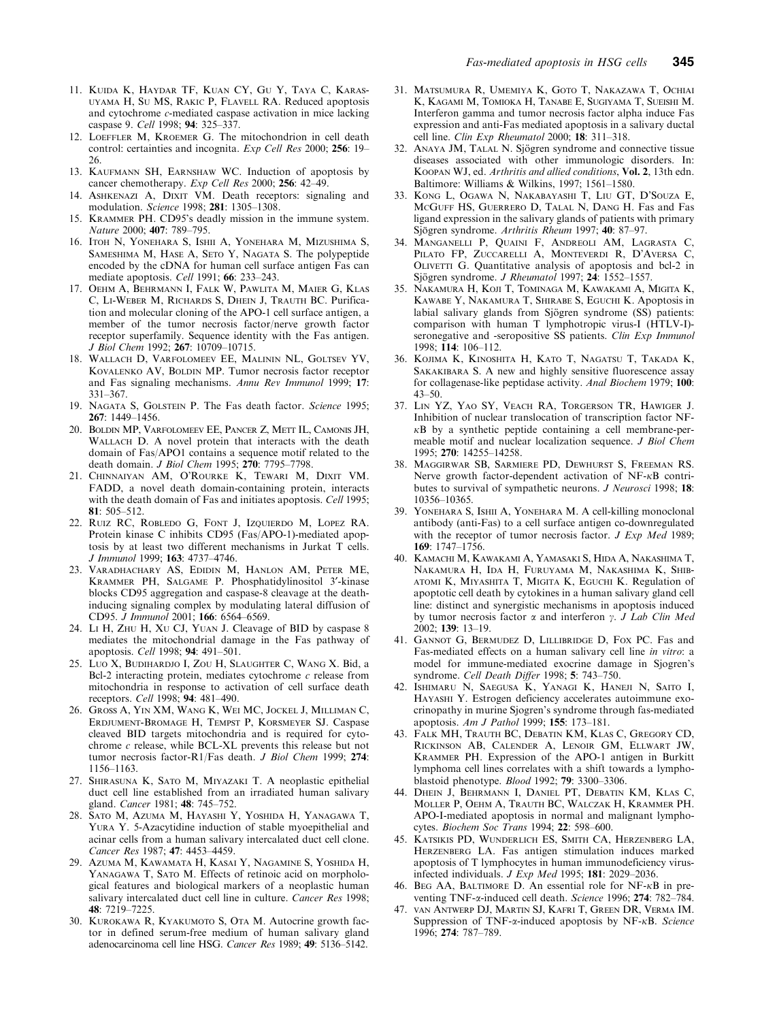- 11. Kuida K, Haydar TF, Kuan CY, Gu Y, Taya C, Karasuyama H, Su MS, Rakic P, Flavell RA. Reduced apoptosis and cytochrome c-mediated caspase activation in mice lacking caspase 9. Cell 1998; 94: 325–337.
- 12. LOEFFLER M, KROEMER G. The mitochondrion in cell death control: certainties and incognita. Exp Cell Res 2000; 256: 19– 26.
- 13. Kaufmann SH, Earnshaw WC. Induction of apoptosis by cancer chemotherapy. Exp Cell Res 2000; 256: 42–49.
- 14. ASHKENAZI A, DIXIT VM. Death receptors: signaling and modulation. Science 1998; 281: 1305–1308.
- 15. Krammer PH. CD95's deadly mission in the immune system. Nature 2000; 407: 789-795.
- 16. Itoh N, Yonehara S, Ishii A, Yonehara M, Mizushima S, SAMESHIMA M, HASE A, SETO Y, NAGATA S. The polypeptide encoded by the cDNA for human cell surface antigen Fas can mediate apoptosis. Cell 1991; 66: 233-243.
- 17. Oehm A, Behrmann I, Falk W, Pawlita M, Maier G, Klas C, Li-Weber M, Richards S, Dhein J, Trauth BC. Purification and molecular cloning of the APO-1 cell surface antigen, a member of the tumor necrosis factor/nerve growth factor receptor superfamily. Sequence identity with the Fas antigen. J Biol Chem 1992; 267: 10709–10715.
- 18. Wallach D, Varfolomeev EE, Malinin NL, Goltsev YV, KOVALENKO AV, BOLDIN MP. Tumor necrosis factor receptor and Fas signaling mechanisms. Annu Rev Immunol 1999; 17: 331–367.
- 19. NAGATA S, GOLSTEIN P. The Fas death factor. Science 1995; 267: 1449–1456.
- 20. Boldin MP, Varfolomeev EE, Pancer Z, Mett IL, Camonis JH, WALLACH D. A novel protein that interacts with the death domain of Fas/APO1 contains a sequence motif related to the death domain. J Biol Chem 1995; 270: 7795–7798.
- 21. Chinnaiyan AM, O'Rourke K, Tewari M, Dixit VM. FADD, a novel death domain-containing protein, interacts with the death domain of Fas and initiates apoptosis. Cell 1995;  $81 \cdot 505 - 512$ .
- 22. Ruiz RC, Robledo G, Font J, Izquierdo M, Lopez RA. Protein kinase C inhibits CD95 (Fas/APO-1)-mediated apoptosis by at least two different mechanisms in Jurkat T cells. J Immunol 1999; 163: 4737–4746.
- 23. Varadhachary AS, Edidin M, Hanlon AM, Peter ME, Krammer PH, Salgame P. Phosphatidylinositol 3¢-kinase blocks CD95 aggregation and caspase-8 cleavage at the deathinducing signaling complex by modulating lateral diffusion of CD95. J Immunol 2001; 166: 6564–6569.
- 24. Li H, Zhu H, Xu CJ, Yuan J. Cleavage of BID by caspase 8 mediates the mitochondrial damage in the Fas pathway of apoptosis. Cell 1998; 94: 491–501.
- 25. Luo X, Budihardjo I, Zou H, Slaughter C, Wang X. Bid, a Bcl-2 interacting protein, mediates cytochrome  $c$  release from mitochondria in response to activation of cell surface death receptors. Cell 1998; 94: 481–490.
- 26. Gross A, Yin XM, Wang K, Wei MC, Jockel J, Milliman C, Erdjument-Bromage H, Tempst P, Korsmeyer SJ. Caspase cleaved BID targets mitochondria and is required for cytochrome c release, while BCL-XL prevents this release but not tumor necrosis factor-R1/Fas death. *J Biol Chem* 1999; 274: 1156–1163.
- 27. Shirasuna K, Sato M, Miyazaki T. A neoplastic epithelial duct cell line established from an irradiated human salivary gland. Cancer 1981; 48: 745–752.
- 28. Sato M, Azuma M, Hayashi Y, Yoshida H, Yanagawa T, Yura Y. 5-Azacytidine induction of stable myoepithelial and acinar cells from a human salivary intercalated duct cell clone. Cancer Res 1987; 47: 4453–4459.
- 29. Azuma M, Kawamata H, Kasai Y, Nagamine S, Yoshida H, YANAGAWA T, SATO M. Effects of retinoic acid on morphological features and biological markers of a neoplastic human salivary intercalated duct cell line in culture. Cancer Res 1998; 48: 7219–7225.
- 30. Kurokawa R, Kyakumoto S, Ota M. Autocrine growth factor in defined serum-free medium of human salivary gland adenocarcinoma cell line HSG. Cancer Res 1989; 49: 5136–5142.
- 31. Matsumura R, Umemiya K, Goto T, Nakazawa T, Ochiai K, Kagami M, Tomioka H, Tanabe E, Sugiyama T, Sueishi M. Interferon gamma and tumor necrosis factor alpha induce Fas expression and anti-Fas mediated apoptosis in a salivary ductal cell line. Clin Exp Rheumatol 2000;  $18: 311-318$ .
- 32. ANAYA JM, TALAL N. Sjögren syndrome and connective tissue diseases associated with other immunologic disorders. In: Koopan WJ, ed. Arthritis and allied conditions, Vol. 2, 13th edn. Baltimore: Williams & Wilkins, 1997; 1561–1580.
- 33. Kong L, Ogawa N, Nakabayashi T, Liu GT, D'Souza E, McGuff HS, Guerrero D, Talal N, Dang H. Fas and Fas ligand expression in the salivary glands of patients with primary Sjögren syndrome. Arthritis Rheum 1997; 40: 87-97.
- 34. Manganelli P, Quaini F, Andreoli AM, Lagrasta C, Pilato FP, Zuccarelli A, Monteverdi R, D'Aversa C, Olivetti G. Quantitative analysis of apoptosis and bcl-2 in Sjögren syndrome. J Rheumatol 1997; 24: 1552-1557.
- 35. Nakamura H, Koji T, Tominaga M, Kawakami A, Migita K, Kawabe Y, Nakamura T, Shirabe S, Eguchi K. Apoptosis in labial salivary glands from Sjögren syndrome (SS) patients: comparison with human T lymphotropic virus-I (HTLV-I) seronegative and -seropositive SS patients. Clin Exp Immunol  $1998 \cdot 114 \cdot 106 - 112$
- 36. Kojima K, Kinoshita H, Kato T, Nagatsu T, Takada K, SAKAKIBARA S. A new and highly sensitive fluorescence assay for collagenase-like peptidase activity. Anal Biochem 1979; 100: 43–50.
- 37. Lin YZ, Yao SY, Veach RA, Torgerson TR, Hawiger J. Inhibition of nuclear translocation of transcription factor NF- $\kappa$ B by a synthetic peptide containing a cell membrane-permeable motif and nuclear localization sequence. J Biol Chem 1995; 270: 14255–14258.
- 38. Maggirwar SB, Sarmiere PD, Dewhurst S, Freeman RS. Nerve growth factor-dependent activation of  $NF-\kappa B$  contributes to survival of sympathetic neurons. J Neurosci 1998; 18: 10356–10365.
- 39. Yonehara S, Ishii A, Yonehara M. A cell-killing monoclonal antibody (anti-Fas) to a cell surface antigen co-downregulated with the receptor of tumor necrosis factor. *J Exp Med* 1989; 169: 1747–1756.
- 40. Kamachi M, Kawakami A, Yamasaki S, Hida A, Nakashima T, Nakamura H, Ida H, Furuyama M, Nakashima K, Shibatomi K, Miyashita T, Migita K, Eguchi K. Regulation of apoptotic cell death by cytokines in a human salivary gland cell line: distinct and synergistic mechanisms in apoptosis induced by tumor necrosis factor  $\alpha$  and interferon  $\gamma$ . J Lab Clin Med 2002; 139: 13–19.
- 41. Gannot G, Bermudez D, Lillibridge D, Fox PC. Fas and Fas-mediated effects on a human salivary cell line in vitro: a model for immune-mediated exocrine damage in Sjogren's syndrome. Cell Death Differ 1998; 5: 743-750.
- 42. Ishimaru N, Saegusa K, Yanagi K, Haneji N, Saito I, Hayashi Y. Estrogen deficiency accelerates autoimmune exocrinopathy in murine Sjogren's syndrome through fas-mediated apoptosis. Am J Pathol 1999; 155: 173–181.
- 43. Falk MH, Trauth BC, Debatin KM, Klas C, Gregory CD, RICKINSON AB, CALENDER A, LENOIR GM, ELLWART JW, Krammer PH. Expression of the APO-1 antigen in Burkitt lymphoma cell lines correlates with a shift towards a lymphoblastoid phenotype. Blood 1992; 79: 3300–3306.
- 44. DHEIN J, BEHRMANN I, DANIEL PT, DEBATIN KM, KLAS C, Moller P, Oehm A, Trauth BC, Walczak H, Krammer PH. APO-I-mediated apoptosis in normal and malignant lymphocytes. Biochem Soc Trans 1994; 22: 598–600.
- 45. Katsikis PD, Wunderlich ES, Smith CA, Herzenberg LA, Herzenberg LA. Fas antigen stimulation induces marked apoptosis of T lymphocytes in human immunodeficiency virusinfected individuals. J Exp Med 1995; 181: 2029–2036.
- 46. BEG AA, BALTIMORE D. An essential role for  $NF-\kappa B$  in preventing TNF-a-induced cell death. Science 1996; 274: 782–784.
- 47. van Antwerp DJ, Martin SJ, Kafri T, Green DR, Verma IM. Suppression of TNF- $\alpha$ -induced apoptosis by NF- $\kappa$ B. Science 1996; 274: 787–789.